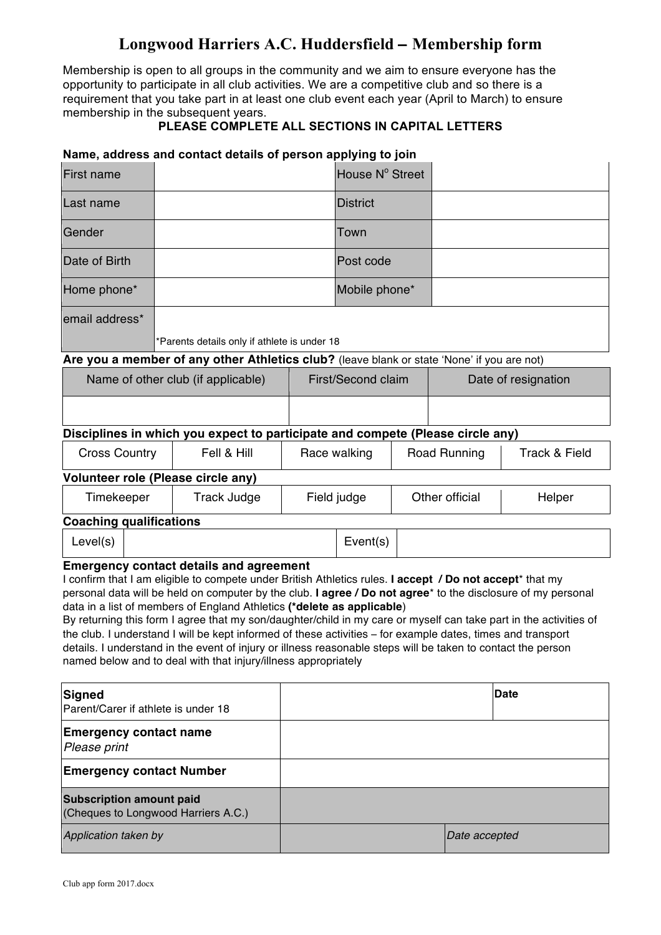# **Longwood Harriers A.C. Huddersfield** – **Membership form**

Membership is open to all groups in the community and we aim to ensure everyone has the opportunity to participate in all club activities. We are a competitive club and so there is a requirement that you take part in at least one club event each year (April to March) to ensure membership in the subsequent years.

## **PLEASE COMPLETE ALL SECTIONS IN CAPITAL LETTERS**

#### **Name, address and contact details of person applying to join**

| <b>First name</b>                                                                          |                                              |                    | House N° Street  |                     |  |  |
|--------------------------------------------------------------------------------------------|----------------------------------------------|--------------------|------------------|---------------------|--|--|
| Last name                                                                                  |                                              |                    | <b>IDistrict</b> |                     |  |  |
| Gender                                                                                     |                                              |                    | Town             |                     |  |  |
| Date of Birth                                                                              |                                              |                    | lPost code       |                     |  |  |
| Home phone*                                                                                |                                              |                    | Mobile phone*    |                     |  |  |
| email address*                                                                             |                                              |                    |                  |                     |  |  |
|                                                                                            | *Parents details only if athlete is under 18 |                    |                  |                     |  |  |
| Are you a member of any other Athletics club? (leave blank or state 'None' if you are not) |                                              |                    |                  |                     |  |  |
| Name of other club (if applicable)                                                         |                                              | First/Second claim |                  | Date of resignation |  |  |

## **Disciplines in which you expect to participate and compete (Please circle any)**

| <b>Cross Country</b>               | Fell & Hill | Race walking | Road Running   | <b>Track &amp; Field</b> |  |  |
|------------------------------------|-------------|--------------|----------------|--------------------------|--|--|
| Volunteer role (Please circle any) |             |              |                |                          |  |  |
| Timekeeper                         | Track Judge | Field judge  | Other official | Helper                   |  |  |

### **Coaching qualifications**

| Level(s)                 |             | $\overline{\phantom{0}}$<br>Event(s) |
|--------------------------|-------------|--------------------------------------|
| $\overline{\phantom{0}}$ | .<br>$\sim$ |                                      |

#### **Emergency contact details and agreement**

I confirm that I am eligible to compete under British Athletics rules. **I accept / Do not accept**\* that my personal data will be held on computer by the club. **I agree / Do not agree**\* to the disclosure of my personal data in a list of members of England Athletics **(\*delete as applicable**)

By returning this form I agree that my son/daughter/child in my care or myself can take part in the activities of the club. I understand I will be kept informed of these activities – for example dates, times and transport details. I understand in the event of injury or illness reasonable steps will be taken to contact the person named below and to deal with that injury/illness appropriately

| Signed<br>Parent/Carer if athlete is under 18                          | Date          |
|------------------------------------------------------------------------|---------------|
| <b>Emergency contact name</b><br>Please print                          |               |
| <b>Emergency contact Number</b>                                        |               |
| <b>Subscription amount paid</b><br>(Cheques to Longwood Harriers A.C.) |               |
| Application taken by                                                   | Date accepted |